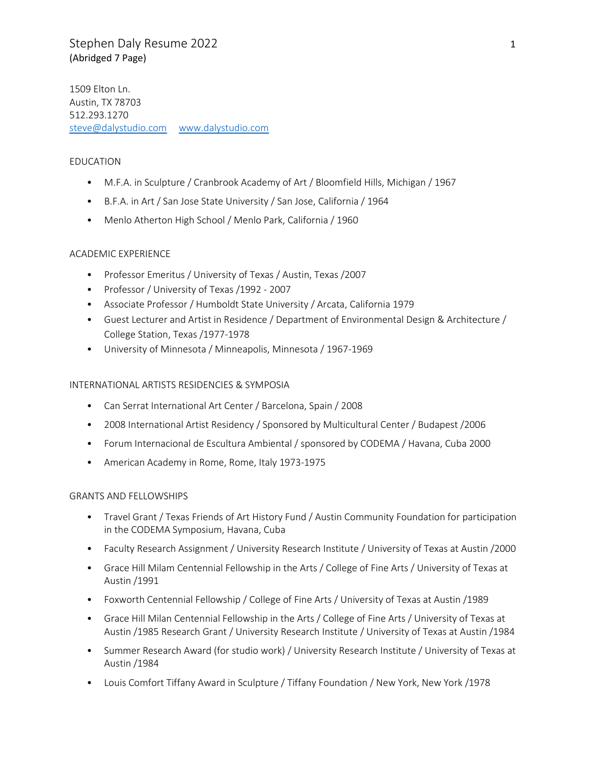## Stephen Daly Resume 2022 1 (Abridged 7 Page)

1509 Elton Ln. Austin, TX 78703 512.293.1270 [steve@dalystudio.com](mailto:steve@daly-studio.com) [www.dalystudio.com](http://www.dalystudio.com/)

### EDUCATION

- M.F.A. in Sculpture / Cranbrook Academy of Art / Bloomfield Hills, Michigan / 1967
- B.F.A. in Art / San Jose State University / San Jose, California / 1964
- Menlo Atherton High School / Menlo Park, California / 1960

### ACADEMIC EXPERIENCE

- Professor Emeritus / University of Texas / Austin, Texas /2007
- Professor / University of Texas /1992 2007
- Associate Professor / Humboldt State University / Arcata, California 1979
- Guest Lecturer and Artist in Residence / Department of Environmental Design & Architecture / College Station, Texas /1977-1978
- University of Minnesota / Minneapolis, Minnesota / 1967-1969

### INTERNATIONAL ARTISTS RESIDENCIES & SYMPOSIA

- Can Serrat International Art Center / Barcelona, Spain / 2008
- 2008 International Artist Residency / Sponsored by Multicultural Center / Budapest /2006
- Forum Internacional de Escultura Ambiental / sponsored by CODEMA / Havana, Cuba 2000
- American Academy in Rome, Rome, Italy 1973-1975

### GRANTS AND FELLOWSHIPS

- Travel Grant / Texas Friends of Art History Fund / Austin Community Foundation for participation in the CODEMA Symposium, Havana, Cuba
- Faculty Research Assignment / University Research Institute / University of Texas at Austin /2000
- Grace Hill Milam Centennial Fellowship in the Arts / College of Fine Arts / University of Texas at Austin /1991
- Foxworth Centennial Fellowship / College of Fine Arts / University of Texas at Austin /1989
- Grace Hill Milan Centennial Fellowship in the Arts / College of Fine Arts / University of Texas at Austin /1985 Research Grant / University Research Institute / University of Texas at Austin /1984
- Summer Research Award (for studio work) / University Research Institute / University of Texas at Austin /1984
- Louis Comfort Tiffany Award in Sculpture / Tiffany Foundation / New York, New York /1978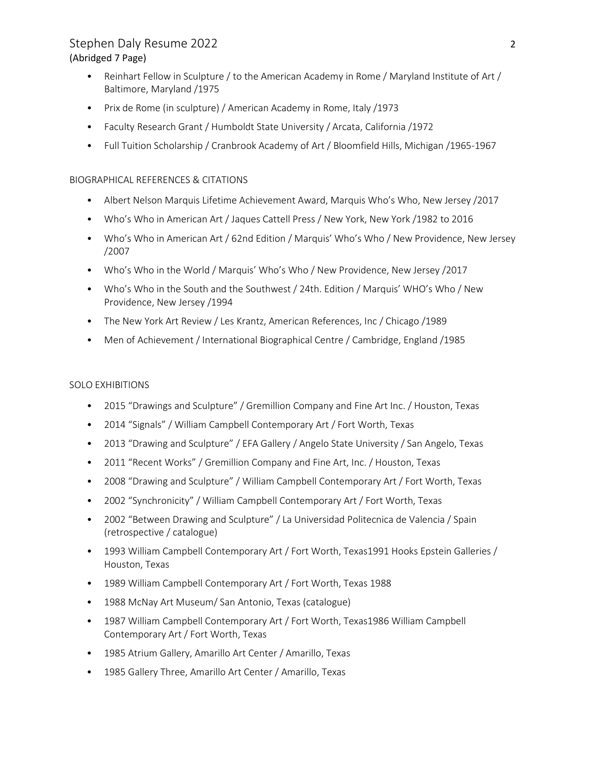# Stephen Daly Resume 2022 2 (Abridged 7 Page)

- Reinhart Fellow in Sculpture / to the American Academy in Rome / Maryland Institute of Art / Baltimore, Maryland /1975
- Prix de Rome (in sculpture) / American Academy in Rome, Italy /1973
- Faculty Research Grant / Humboldt State University / Arcata, California /1972
- Full Tuition Scholarship / Cranbrook Academy of Art / Bloomfield Hills, Michigan /1965-1967

### BIOGRAPHICAL REFERENCES & CITATIONS

- Albert Nelson Marquis Lifetime Achievement Award, Marquis Who's Who, New Jersey /2017
- Who's Who in American Art / Jaques Cattell Press / New York, New York /1982 to 2016
- Who's Who in American Art / 62nd Edition / Marquis' Who's Who / New Providence, New Jersey /2007
- Who's Who in the World / Marquis' Who's Who / New Providence, New Jersey /2017
- Who's Who in the South and the Southwest / 24th. Edition / Marquis' WHO's Who / New Providence, New Jersey /1994
- The New York Art Review / Les Krantz, American References, Inc / Chicago /1989
- Men of Achievement / International Biographical Centre / Cambridge, England /1985

### SOLO EXHIBITIONS

- 2015 "Drawings and Sculpture" / Gremillion Company and Fine Art Inc. / Houston, Texas
- 2014 "Signals" / William Campbell Contemporary Art / Fort Worth, Texas
- 2013 "Drawing and Sculpture" / EFA Gallery / Angelo State University / San Angelo, Texas
- 2011 "Recent Works" / Gremillion Company and Fine Art, Inc. / Houston, Texas
- 2008 "Drawing and Sculpture" / William Campbell Contemporary Art / Fort Worth, Texas
- 2002 "Synchronicity" / William Campbell Contemporary Art / Fort Worth, Texas
- 2002 "Between Drawing and Sculpture" / La Universidad Politecnica de Valencia / Spain (retrospective / catalogue)
- 1993 William Campbell Contemporary Art / Fort Worth, Texas1991 Hooks Epstein Galleries / Houston, Texas
- 1989 William Campbell Contemporary Art / Fort Worth, Texas 1988
- 1988 McNay Art Museum/ San Antonio, Texas (catalogue)
- 1987 William Campbell Contemporary Art / Fort Worth, Texas1986 William Campbell Contemporary Art / Fort Worth, Texas
- 1985 Atrium Gallery, Amarillo Art Center / Amarillo, Texas
- 1985 Gallery Three, Amarillo Art Center / Amarillo, Texas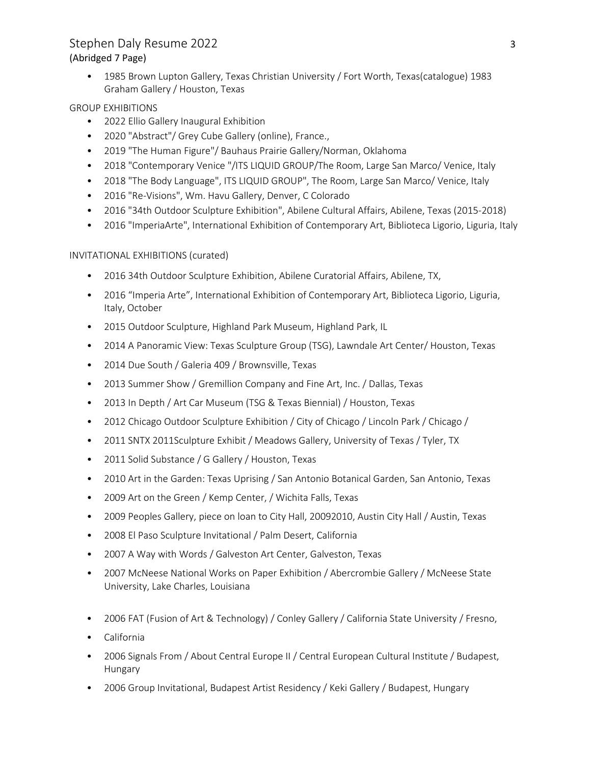## Stephen Daly Resume 2022 3 (Abridged 7 Page)

• 1985 Brown Lupton Gallery, Texas Christian University / Fort Worth, Texas(catalogue) 1983 Graham Gallery / Houston, Texas

### GROUP EXHIBITIONS

- 2022 Ellio Gallery Inaugural Exhibition
- 2020 "Abstract"/ Grey Cube Gallery (online), France.,
- 2019 "The Human Figure"/ Bauhaus Prairie Gallery/Norman, Oklahoma
- 2018 "Contemporary Venice "/ITS LIQUID GROUP/The Room, Large San Marco/ Venice, Italy
- 2018 "The Body Language", ITS LIQUID GROUP", The Room, Large San Marco/ Venice, Italy
- 2016 "Re-Visions", Wm. Havu Gallery, Denver, C Colorado
- 2016 "34th Outdoor Sculpture Exhibition", Abilene Cultural Affairs, Abilene, Texas (2015-2018)
- 2016 "ImperiaArte", International Exhibition of Contemporary Art, Biblioteca Ligorio, Liguria, Italy

INVITATIONAL EXHIBITIONS (curated)

- 2016 34th Outdoor Sculpture Exhibition, Abilene Curatorial Affairs, Abilene, TX,
- 2016 "Imperia Arte", International Exhibition of Contemporary Art, Biblioteca Ligorio, Liguria, Italy, October
- 2015 Outdoor Sculpture, Highland Park Museum, Highland Park, IL
- 2014 A Panoramic View: Texas Sculpture Group (TSG), Lawndale Art Center/ Houston, Texas
- 2014 Due South / Galeria 409 / Brownsville, Texas
- 2013 Summer Show / Gremillion Company and Fine Art, Inc. / Dallas, Texas
- 2013 In Depth / Art Car Museum (TSG & Texas Biennial) / Houston, Texas
- 2012 Chicago Outdoor Sculpture Exhibition / City of Chicago / Lincoln Park / Chicago /
- 2011 SNTX 2011Sculpture Exhibit / Meadows Gallery, University of Texas / Tyler, TX
- 2011 Solid Substance / G Gallery / Houston, Texas
- 2010 Art in the Garden: Texas Uprising / San Antonio Botanical Garden, San Antonio, Texas
- 2009 Art on the Green / Kemp Center, / Wichita Falls, Texas
- 2009 Peoples Gallery, piece on loan to City Hall, 20092010, Austin City Hall / Austin, Texas
- 2008 El Paso Sculpture Invitational / Palm Desert, California
- 2007 A Way with Words / Galveston Art Center, Galveston, Texas
- 2007 McNeese National Works on Paper Exhibition / Abercrombie Gallery / McNeese State University, Lake Charles, Louisiana
- 2006 FAT (Fusion of Art & Technology) / Conley Gallery / California State University / Fresno,
- California
- 2006 Signals From / About Central Europe II / Central European Cultural Institute / Budapest, Hungary
- 2006 Group Invitational, Budapest Artist Residency / Keki Gallery / Budapest, Hungary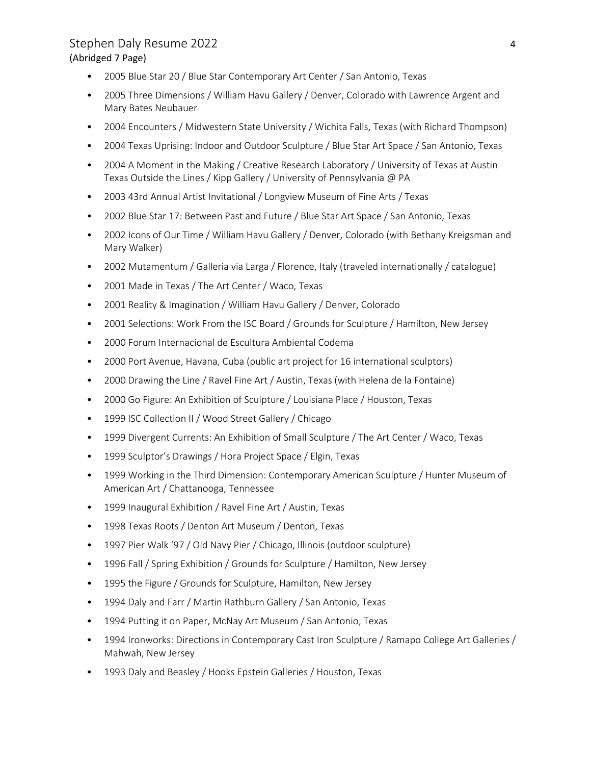### Stephen Daly Resume 2022 4 (Abridged 7 Page)

- 2005 Blue Star 20 / Blue Star Contemporary Art Center / San Antonio, Texas
- 2005 Three Dimensions / William Havu Gallery / Denver, Colorado with Lawrence Argent and Mary Bates Neubauer
- 2004 Encounters / Midwestern State University / Wichita Falls, Texas (with Richard Thompson)
- 2004 Texas Uprising: Indoor and Outdoor Sculpture / Blue Star Art Space / San Antonio, Texas
- 2004 A Moment in the Making / Creative Research Laboratory / University of Texas at Austin Texas Outside the Lines / Kipp Gallery / University of Pennsylvania @ PA
- 2003 43rd Annual Artist Invitational / Longview Museum of Fine Arts / Texas
- 2002 Blue Star 17: Between Past and Future / Blue Star Art Space / San Antonio, Texas
- 2002 Icons of Our Time / William Havu Gallery / Denver, Colorado (with Bethany Kreigsman and Mary Walker)
- 2002 Mutamentum / Galleria via Larga / Florence, Italy (traveled internationally / catalogue)
- 2001 Made in Texas / The Art Center / Waco, Texas
- 2001 Reality & Imagination / William Havu Gallery / Denver, Colorado
- 2001 Selections: Work From the ISC Board / Grounds for Sculpture / Hamilton, New Jersey
- 2000 Forum Internacional de Escultura Ambiental Codema
- 2000 Port Avenue, Havana, Cuba (public art project for 16 international sculptors)
- 2000 Drawing the Line / Ravel Fine Art / Austin, Texas (with Helena de la Fontaine)
- 2000 Go Figure: An Exhibition of Sculpture / Louisiana Place / Houston, Texas
- 1999 ISC Collection II / Wood Street Gallery / Chicago
- 1999 Divergent Currents: An Exhibition of Small Sculpture / The Art Center / Waco, Texas
- 1999 Sculptor's Drawings / Hora Project Space / Elgin, Texas
- 1999 Working in the Third Dimension: Contemporary American Sculpture / Hunter Museum of American Art / Chattanooga, Tennessee
- 1999 Inaugural Exhibition / Ravel Fine Art / Austin, Texas
- 1998 Texas Roots / Denton Art Museum / Denton, Texas
- 1997 Pier Walk '97 / Old Navy Pier / Chicago, Illinois (outdoor sculpture)
- 1996 Fall / Spring Exhibition / Grounds for Sculpture / Hamilton, New Jersey
- 1995 the Figure / Grounds for Sculpture, Hamilton, New Jersey
- 1994 Daly and Farr / Martin Rathburn Gallery / San Antonio, Texas
- 1994 Putting it on Paper, McNay Art Museum / San Antonio, Texas
- 1994 Ironworks: Directions in Contemporary Cast Iron Sculpture / Ramapo College Art Galleries / Mahwah, New Jersey
- 1993 Daly and Beasley / Hooks Epstein Galleries / Houston, Texas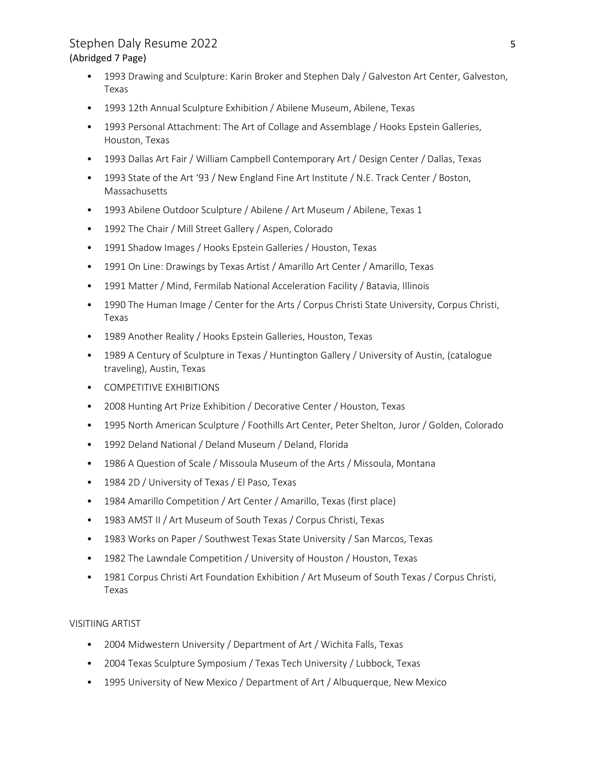## Stephen Daly Resume 2022 5 (Abridged 7 Page)

- 1993 Drawing and Sculpture: Karin Broker and Stephen Daly / Galveston Art Center, Galveston, Texas
- 1993 12th Annual Sculpture Exhibition / Abilene Museum, Abilene, Texas
- 1993 Personal Attachment: The Art of Collage and Assemblage / Hooks Epstein Galleries, Houston, Texas
- 1993 Dallas Art Fair / William Campbell Contemporary Art / Design Center / Dallas, Texas
- 1993 State of the Art '93 / New England Fine Art Institute / N.E. Track Center / Boston, Massachusetts
- 1993 Abilene Outdoor Sculpture / Abilene / Art Museum / Abilene, Texas 1
- 1992 The Chair / Mill Street Gallery / Aspen, Colorado
- 1991 Shadow Images / Hooks Epstein Galleries / Houston, Texas
- 1991 On Line: Drawings by Texas Artist / Amarillo Art Center / Amarillo, Texas
- 1991 Matter / Mind, Fermilab National Acceleration Facility / Batavia, Illinois
- 1990 The Human Image / Center for the Arts / Corpus Christi State University, Corpus Christi, Texas
- 1989 Another Reality / Hooks Epstein Galleries, Houston, Texas
- 1989 A Century of Sculpture in Texas / Huntington Gallery / University of Austin, (catalogue traveling), Austin, Texas
- COMPETITIVE EXHIBITIONS
- 2008 Hunting Art Prize Exhibition / Decorative Center / Houston, Texas
- 1995 North American Sculpture / Foothills Art Center, Peter Shelton, Juror / Golden, Colorado
- 1992 Deland National / Deland Museum / Deland, Florida
- 1986 A Question of Scale / Missoula Museum of the Arts / Missoula, Montana
- 1984 2D / University of Texas / El Paso, Texas
- 1984 Amarillo Competition / Art Center / Amarillo, Texas (first place)
- 1983 AMST II / Art Museum of South Texas / Corpus Christi, Texas
- 1983 Works on Paper / Southwest Texas State University / San Marcos, Texas
- 1982 The Lawndale Competition / University of Houston / Houston, Texas
- 1981 Corpus Christi Art Foundation Exhibition / Art Museum of South Texas / Corpus Christi, Texas

### VISITIING ARTIST

- 2004 Midwestern University / Department of Art / Wichita Falls, Texas
- 2004 Texas Sculpture Symposium / Texas Tech University / Lubbock, Texas
- 1995 University of New Mexico / Department of Art / Albuquerque, New Mexico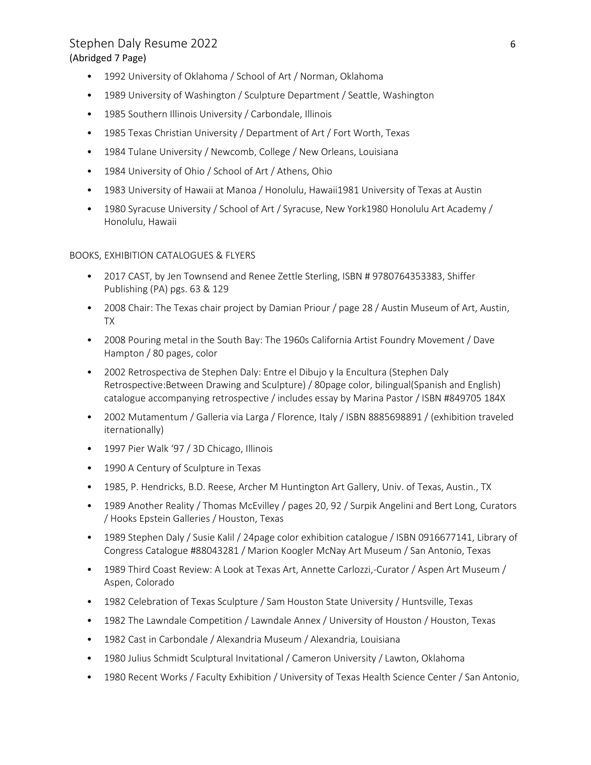### Stephen Daly Resume 2022 6 (Abridged 7 Page)

- 1992 University of Oklahoma / School of Art / Norman, Oklahoma
- 1989 University of Washington / Sculpture Department / Seattle, Washington
- 1985 Southern Illinois University / Carbondale, Illinois
- 1985 Texas Christian University / Department of Art / Fort Worth, Texas
- 1984 Tulane University / Newcomb, College / New Orleans, Louisiana
- 1984 University of Ohio / School of Art / Athens, Ohio
- 1983 University of Hawaii at Manoa / Honolulu, Hawaii1981 University of Texas at Austin
- 1980 Syracuse University / School of Art / Syracuse, New York1980 Honolulu Art Academy / Honolulu, Hawaii

BOOKS, EXHIBITION CATALOGUES & FLYERS

- 2017 CAST, by Jen Townsend and Renee Zettle Sterling, ISBN # 9780764353383, Shiffer Publishing (PA) pgs. 63 & 129
- 2008 Chair: The Texas chair project by Damian Priour / page 28 / Austin Museum of Art, Austin, TX
- 2008 Pouring metal in the South Bay: The 1960s California Artist Foundry Movement / Dave Hampton / 80 pages, color
- 2002 Retrospectiva de Stephen Daly: Entre el Dibujo y la Encultura (Stephen Daly Retrospective:Between Drawing and Sculpture) / 80page color, bilingual(Spanish and English) catalogue accompanying retrospective / includes essay by Marina Pastor / ISBN #849705 184X
- 2002 Mutamentum / Galleria via Larga / Florence, Italy / ISBN 8885698891 / (exhibition traveled iternationally)
- 1997 Pier Walk '97 / 3D Chicago, Illinois
- 1990 A Century of Sculpture in Texas
- 1985, P. Hendricks, B.D. Reese, Archer M Huntington Art Gallery, Univ. of Texas, Austin., TX
- 1989 Another Reality / Thomas McEvilley / pages 20, 92 / Surpik Angelini and Bert Long, Curators / Hooks Epstein Galleries / Houston, Texas
- 1989 Stephen Daly / Susie Kalil / 24page color exhibition catalogue / ISBN 0916677141, Library of Congress Catalogue #88043281 / Marion Koogler McNay Art Museum / San Antonio, Texas
- 1989 Third Coast Review: A Look at Texas Art, Annette Carlozzi,-Curator / Aspen Art Museum / Aspen, Colorado
- 1982 Celebration of Texas Sculpture / Sam Houston State University / Huntsville, Texas
- 1982 The Lawndale Competition / Lawndale Annex / University of Houston / Houston, Texas
- 1982 Cast in Carbondale / Alexandria Museum / Alexandria, Louisiana
- 1980 Julius Schmidt Sculptural Invitational / Cameron University / Lawton, Oklahoma
- 1980 Recent Works / Faculty Exhibition / University of Texas Health Science Center / San Antonio,